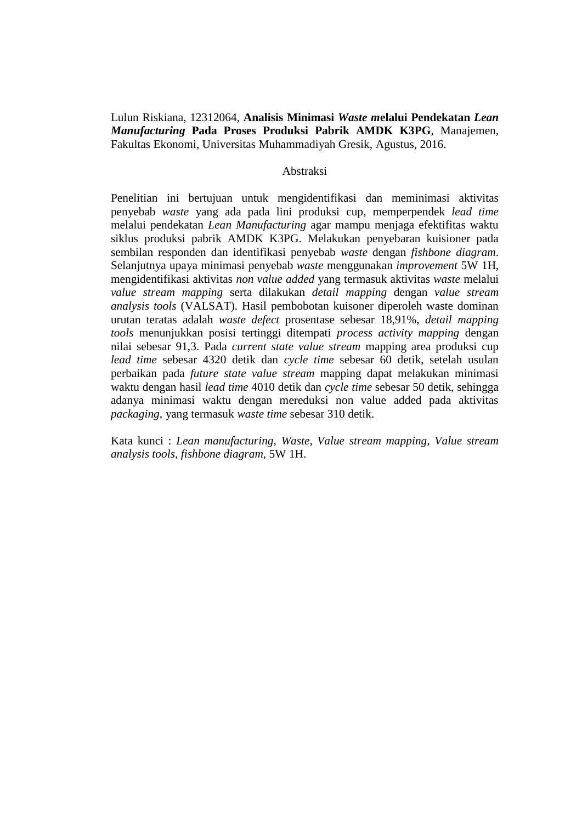Lulun Riskiana, 12312064, **Analisis Minimasi** *Waste m***elalui Pendekatan** *Lean Manufacturing* **Pada Proses Produksi Pabrik AMDK K3PG**, Manajemen, Fakultas Ekonomi, Universitas Muhammadiyah Gresik, Agustus, 2016.

## Abstraksi

Penelitian ini bertujuan untuk mengidentifikasi dan meminimasi aktivitas penyebab *waste* yang ada pada lini produksi cup, memperpendek *lead time*  melalui pendekatan *Lean Manufacturing* agar mampu menjaga efektifitas waktu siklus produksi pabrik AMDK K3PG. Melakukan penyebaran kuisioner pada sembilan responden dan identifikasi penyebab *waste* dengan *fishbone diagram*. Selanjutnya upaya minimasi penyebab *waste* menggunakan *improvement* 5W 1H, mengidentifikasi aktivitas *non value added* yang termasuk aktivitas *waste* melalui *value stream mapping* serta dilakukan *detail mapping* dengan *value stream analysis tools* (VALSAT). Hasil pembobotan kuisoner diperoleh waste dominan urutan teratas adalah *waste defect* prosentase sebesar 18,91%, *detail mapping tools* menunjukkan posisi tertinggi ditempati *process activity mapping* dengan nilai sebesar 91,3. Pada *current state value stream* mapping area produksi cup *lead time* sebesar 4320 detik dan *cycle time* sebesar 60 detik, setelah usulan perbaikan pada *future state value stream* mapping dapat melakukan minimasi waktu dengan hasil *lead time* 4010 detik dan *cycle time* sebesar 50 detik, sehingga adanya minimasi waktu dengan mereduksi non value added pada aktivitas *packaging*, yang termasuk *waste time* sebesar 310 detik.

Kata kunci : *Lean manufacturing, Waste, Value stream mapping, Value stream analysis tools, fishbone diagram,* 5W 1H.